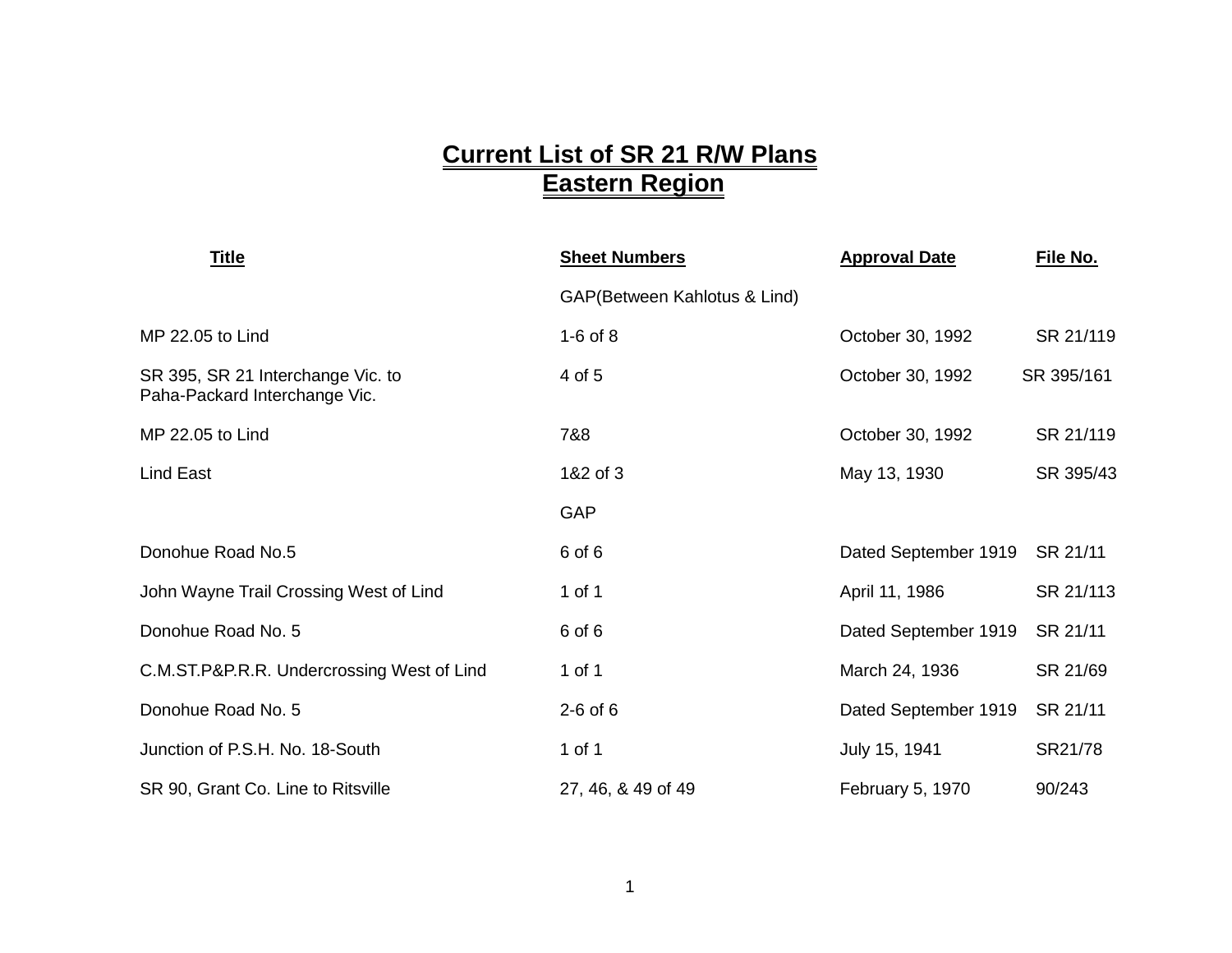## **Current List of SR 21 R/W Plans Eastern Region**

| <b>Title</b>                                                       | <b>Sheet Numbers</b>         | <b>Approval Date</b> | File No.   |
|--------------------------------------------------------------------|------------------------------|----------------------|------------|
|                                                                    | GAP(Between Kahlotus & Lind) |                      |            |
| MP 22.05 to Lind                                                   | $1-6$ of $8$                 | October 30, 1992     | SR 21/119  |
| SR 395, SR 21 Interchange Vic. to<br>Paha-Packard Interchange Vic. | 4 of 5                       | October 30, 1992     | SR 395/161 |
| MP 22.05 to Lind                                                   | 7&8                          | October 30, 1992     | SR 21/119  |
| <b>Lind East</b>                                                   | 1&2 of 3                     | May 13, 1930         | SR 395/43  |
|                                                                    | GAP                          |                      |            |
| Donohue Road No.5                                                  | 6 of 6                       | Dated September 1919 | SR 21/11   |
| John Wayne Trail Crossing West of Lind                             | 1 of 1                       | April 11, 1986       | SR 21/113  |
| Donohue Road No. 5                                                 | 6 of 6                       | Dated September 1919 | SR 21/11   |
| C.M.ST.P&P.R.R. Undercrossing West of Lind                         | 1 of 1                       | March 24, 1936       | SR 21/69   |
| Donohue Road No. 5                                                 | $2-6$ of $6$                 | Dated September 1919 | SR 21/11   |
| Junction of P.S.H. No. 18-South                                    | 1 of 1                       | July 15, 1941        | SR21/78    |
| SR 90, Grant Co. Line to Ritsville                                 | 27, 46, & 49 of 49           | February 5, 1970     | 90/243     |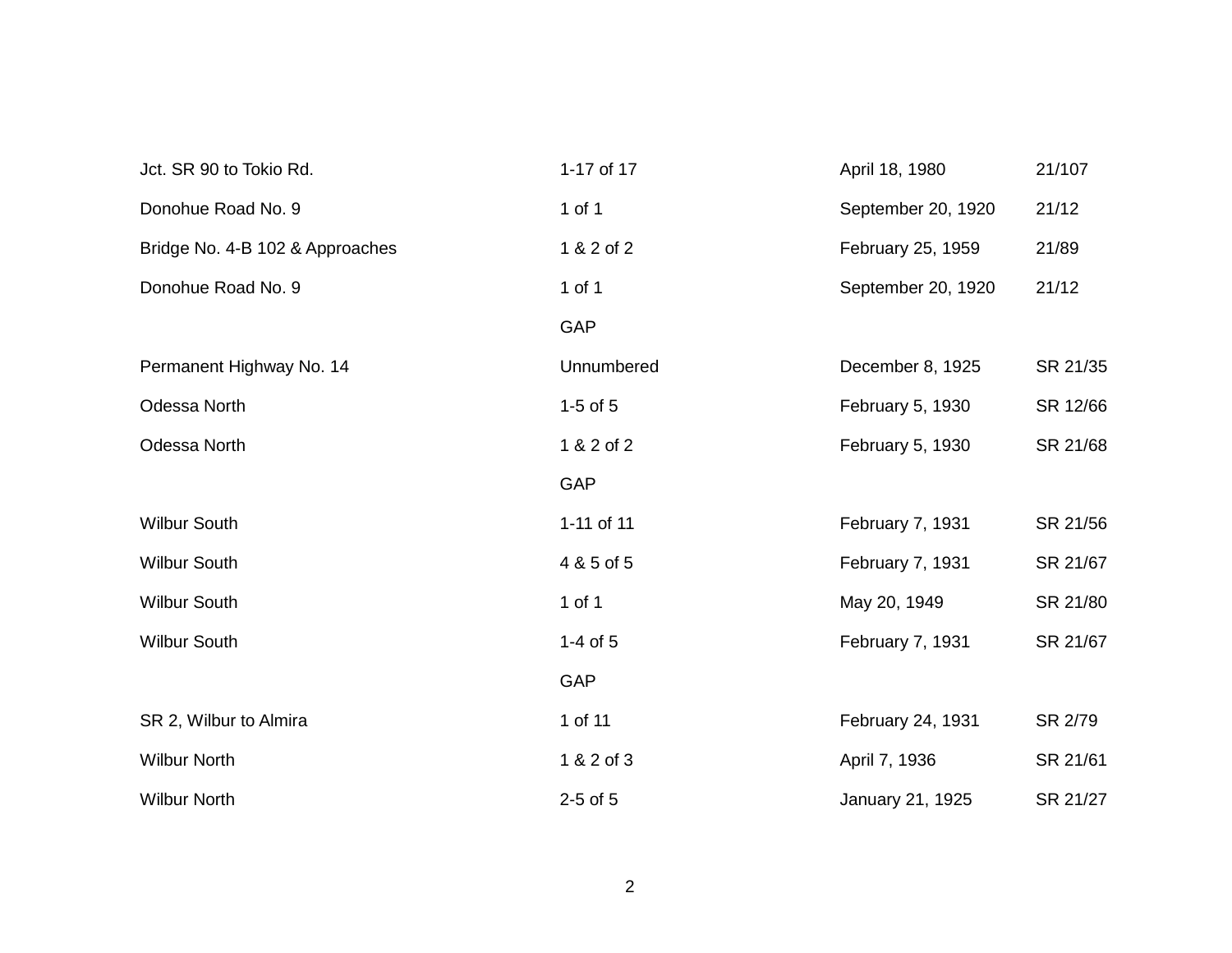| Jct. SR 90 to Tokio Rd.         | 1-17 of 17   | April 18, 1980     | 21/107   |
|---------------------------------|--------------|--------------------|----------|
| Donohue Road No. 9              | 1 of 1       | September 20, 1920 | 21/12    |
| Bridge No. 4-B 102 & Approaches | 1 & 2 of 2   | February 25, 1959  | 21/89    |
| Donohue Road No. 9              | $1$ of $1$   | September 20, 1920 | 21/12    |
|                                 | GAP          |                    |          |
| Permanent Highway No. 14        | Unnumbered   | December 8, 1925   | SR 21/35 |
| Odessa North                    | $1-5$ of $5$ | February 5, 1930   | SR 12/66 |
| Odessa North                    | 1 & 2 of 2   | February 5, 1930   | SR 21/68 |
|                                 | GAP          |                    |          |
| <b>Wilbur South</b>             | 1-11 of 11   | February 7, 1931   | SR 21/56 |
| <b>Wilbur South</b>             | 4 & 5 of 5   | February 7, 1931   | SR 21/67 |
| <b>Wilbur South</b>             | 1 of 1       | May 20, 1949       | SR 21/80 |
| <b>Wilbur South</b>             | $1-4$ of $5$ | February 7, 1931   | SR 21/67 |
|                                 | <b>GAP</b>   |                    |          |
| SR 2, Wilbur to Almira          | 1 of 11      | February 24, 1931  | SR 2/79  |
| <b>Wilbur North</b>             | 1 & 2 of 3   | April 7, 1936      | SR 21/61 |
| <b>Wilbur North</b>             | $2-5$ of $5$ | January 21, 1925   | SR 21/27 |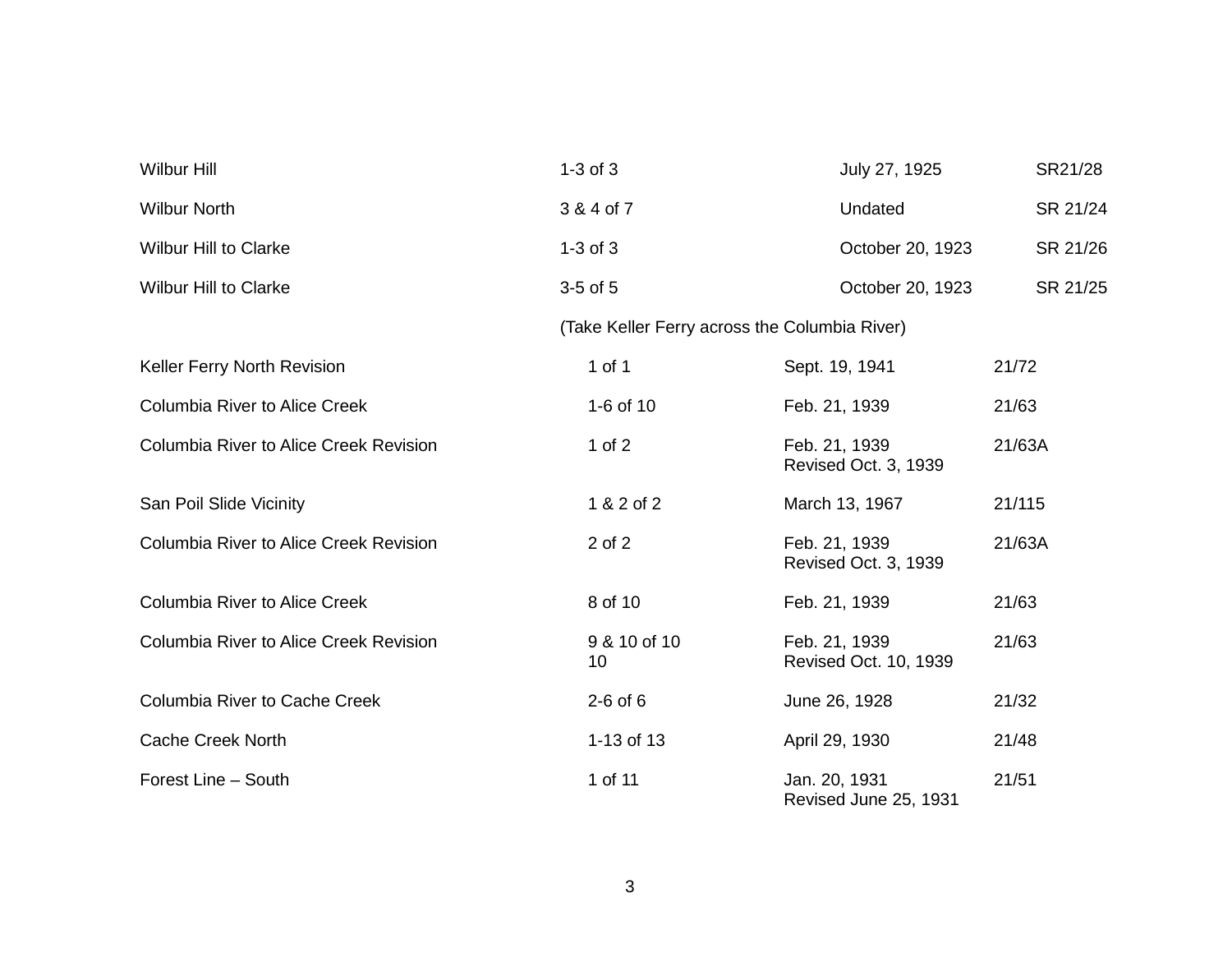| <b>Wilbur Hill</b>                            | $1-3$ of $3$                                  | July 27, 1925                          | SR21/28  |
|-----------------------------------------------|-----------------------------------------------|----------------------------------------|----------|
| <b>Wilbur North</b>                           | 3 & 4 of 7                                    | Undated                                | SR 21/24 |
| <b>Wilbur Hill to Clarke</b>                  | $1-3$ of $3$                                  | October 20, 1923                       | SR 21/26 |
| <b>Wilbur Hill to Clarke</b>                  | $3-5$ of $5$                                  | October 20, 1923                       | SR 21/25 |
|                                               | (Take Keller Ferry across the Columbia River) |                                        |          |
| Keller Ferry North Revision                   | 1 of 1                                        | Sept. 19, 1941                         | 21/72    |
| <b>Columbia River to Alice Creek</b>          | 1-6 of 10                                     | Feb. 21, 1939                          | 21/63    |
| Columbia River to Alice Creek Revision        | 1 of $2$                                      | Feb. 21, 1939<br>Revised Oct. 3, 1939  | 21/63A   |
| San Poil Slide Vicinity                       | 1 & 2 of 2                                    | March 13, 1967                         | 21/115   |
| Columbia River to Alice Creek Revision        | 2 of 2                                        | Feb. 21, 1939<br>Revised Oct. 3, 1939  | 21/63A   |
| <b>Columbia River to Alice Creek</b>          | 8 of 10                                       | Feb. 21, 1939                          | 21/63    |
| <b>Columbia River to Alice Creek Revision</b> | 9 & 10 of 10<br>10                            | Feb. 21, 1939<br>Revised Oct. 10, 1939 | 21/63    |
| Columbia River to Cache Creek                 | $2-6$ of 6                                    | June 26, 1928                          | 21/32    |
| <b>Cache Creek North</b>                      | 1-13 of 13                                    | April 29, 1930                         | 21/48    |
| Forest Line - South                           | 1 of 11                                       | Jan. 20, 1931<br>Revised June 25, 1931 | 21/51    |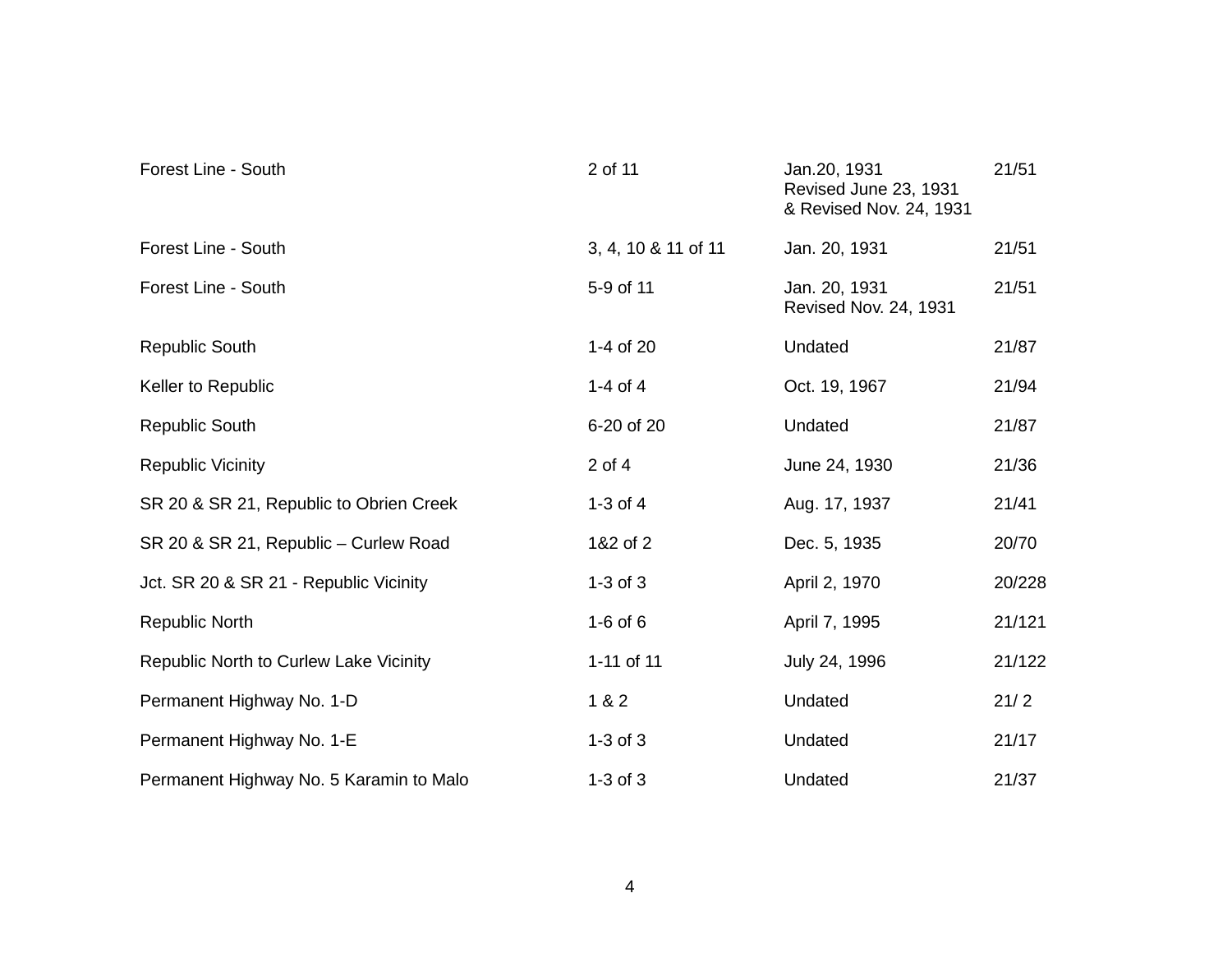| Forest Line - South                     | 2 of 11             | Jan.20, 1931<br>Revised June 23, 1931<br>& Revised Nov. 24, 1931 | 21/51  |
|-----------------------------------------|---------------------|------------------------------------------------------------------|--------|
| Forest Line - South                     | 3, 4, 10 & 11 of 11 | Jan. 20, 1931                                                    | 21/51  |
| Forest Line - South                     | 5-9 of 11           | Jan. 20, 1931<br>Revised Nov. 24, 1931                           | 21/51  |
| <b>Republic South</b>                   | 1-4 of 20           | Undated                                                          | 21/87  |
| Keller to Republic                      | 1-4 of 4            | Oct. 19, 1967                                                    | 21/94  |
| <b>Republic South</b>                   | 6-20 of 20          | Undated                                                          | 21/87  |
| <b>Republic Vicinity</b>                | $2$ of $4$          | June 24, 1930                                                    | 21/36  |
| SR 20 & SR 21, Republic to Obrien Creek | 1-3 of $4$          | Aug. 17, 1937                                                    | 21/41  |
| SR 20 & SR 21, Republic - Curlew Road   | 1&2 of 2            | Dec. 5, 1935                                                     | 20/70  |
| Jct. SR 20 & SR 21 - Republic Vicinity  | $1-3$ of $3$        | April 2, 1970                                                    | 20/228 |
| <b>Republic North</b>                   | $1-6$ of $6$        | April 7, 1995                                                    | 21/121 |
| Republic North to Curlew Lake Vicinity  | 1-11 of 11          | July 24, 1996                                                    | 21/122 |
| Permanent Highway No. 1-D               | 1 & 2               | Undated                                                          | 21/2   |
| Permanent Highway No. 1-E               | $1-3$ of $3$        | Undated                                                          | 21/17  |
| Permanent Highway No. 5 Karamin to Malo | $1-3$ of $3$        | Undated                                                          | 21/37  |